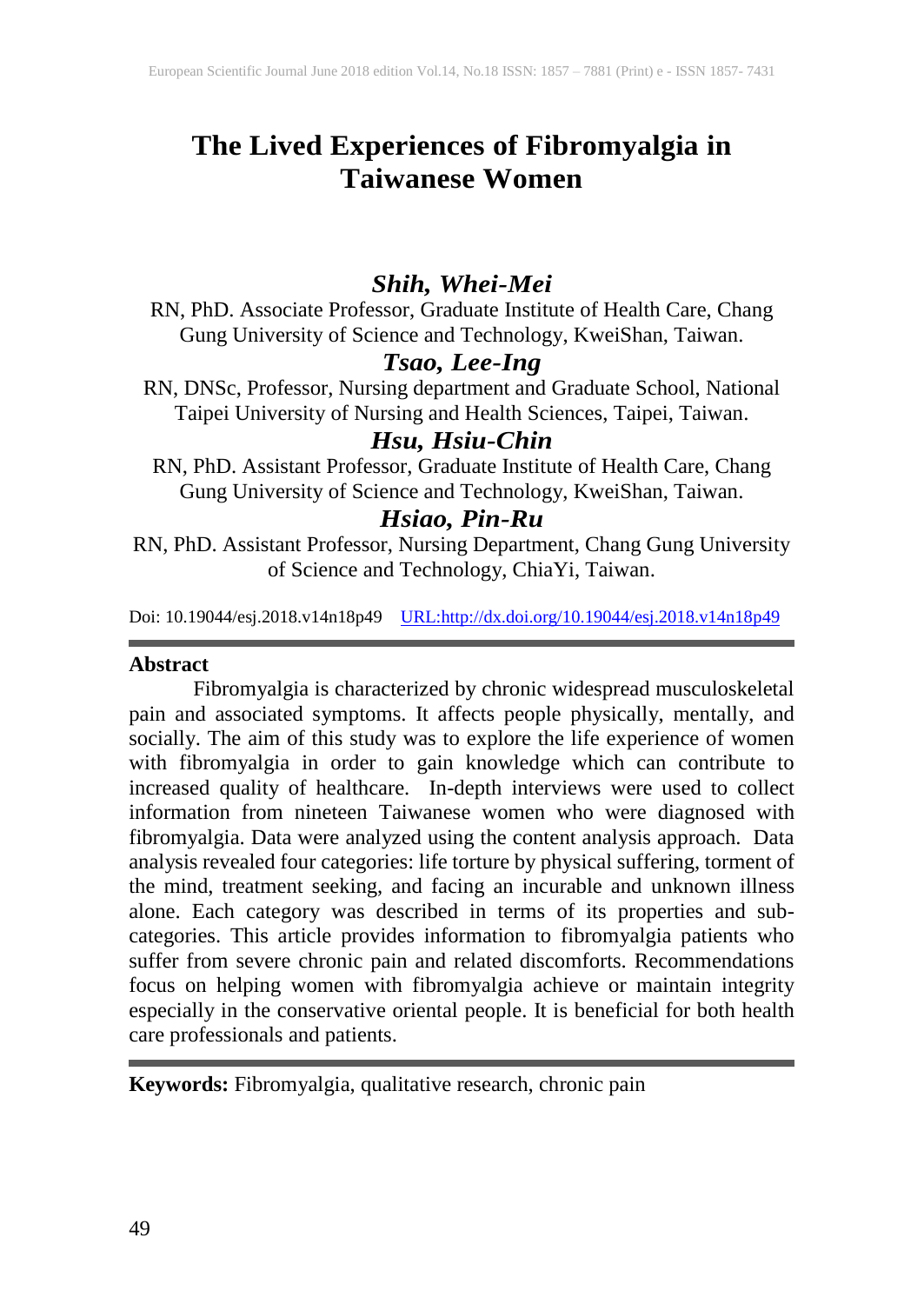# **The Lived Experiences of Fibromyalgia in Taiwanese Women**

## *Shih, Whei-Mei*

RN, PhD. Associate Professor, Graduate Institute of Health Care, Chang Gung University of Science and Technology, KweiShan, Taiwan.

## *Tsao, Lee-Ing*

RN, DNSc, Professor, Nursing department and Graduate School, National Taipei University of Nursing and Health Sciences, Taipei, Taiwan.

## *Hsu, Hsiu-Chin*

RN, PhD. Assistant Professor, Graduate Institute of Health Care, Chang Gung University of Science and Technology, KweiShan, Taiwan.

## *Hsiao, Pin-Ru*

RN, PhD. Assistant Professor, Nursing Department, Chang Gung University of Science and Technology, ChiaYi, Taiwan.

Doi: 10.19044/esj.2018.v14n18p49 [URL:http://dx.doi.org/10.19044/esj.2018.v14n18p49](http://dx.doi.org/10.19044/esj.2018.v14n18p49)

#### **Abstract**

Fibromyalgia is characterized by chronic widespread musculoskeletal pain and associated symptoms. It affects people physically, mentally, and socially. The aim of this study was to explore the life experience of women with fibromyalgia in order to gain knowledge which can contribute to increased quality of healthcare. In-depth interviews were used to collect information from nineteen Taiwanese women who were diagnosed with fibromyalgia. Data were analyzed using the content analysis approach. Data analysis revealed four categories: life torture by physical suffering, torment of the mind, treatment seeking, and facing an incurable and unknown illness alone. Each category was described in terms of its properties and subcategories. This article provides information to fibromyalgia patients who suffer from severe chronic pain and related discomforts. Recommendations focus on helping women with fibromyalgia achieve or maintain integrity especially in the conservative oriental people. It is beneficial for both health care professionals and patients.

**Keywords:** Fibromyalgia, qualitative research, chronic pain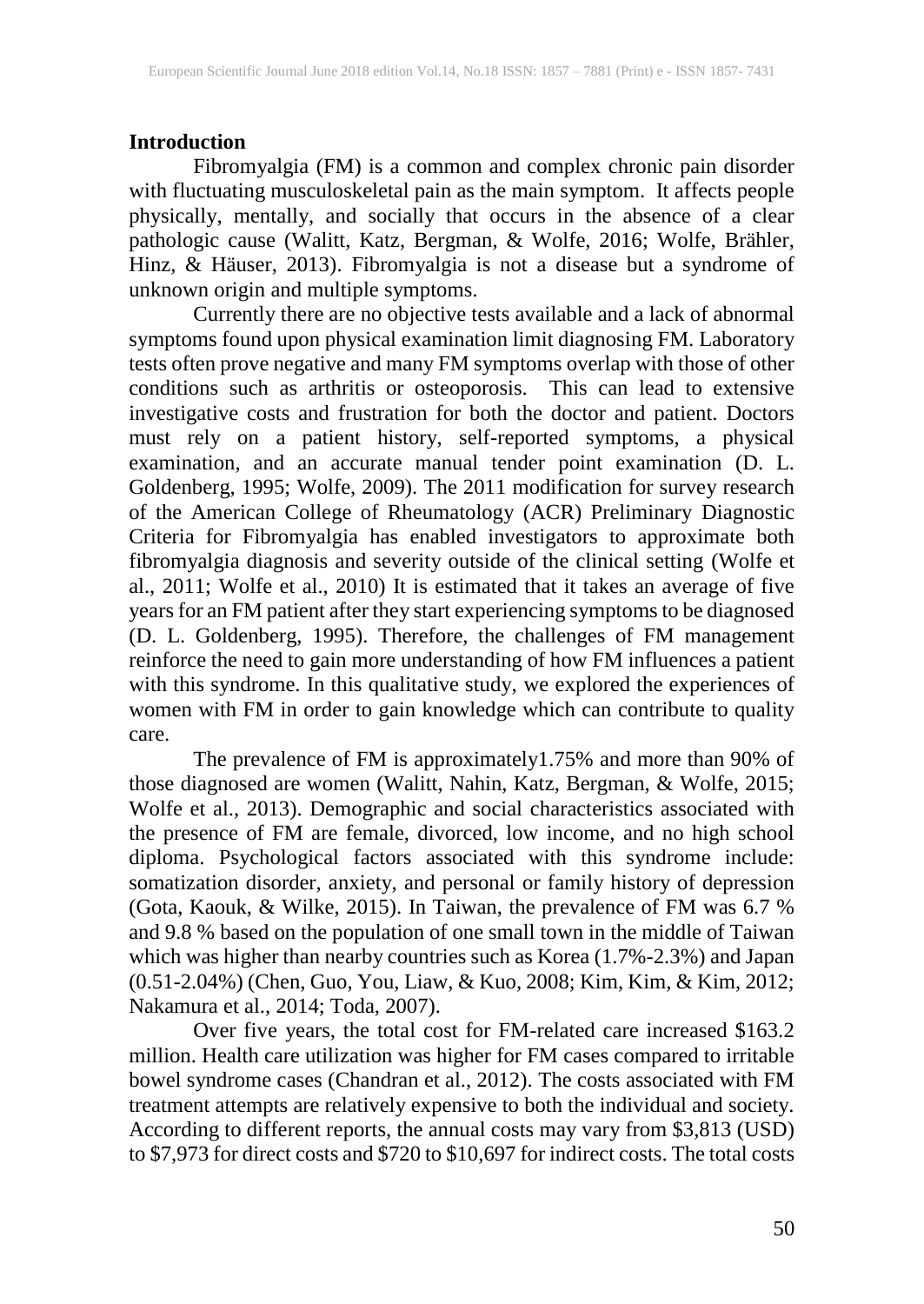### **Introduction**

Fibromyalgia (FM) is a common and complex chronic pain disorder with fluctuating musculoskeletal pain as the main symptom. It affects people physically, mentally, and socially that occurs in the absence of a clear pathologic cause (Walitt, Katz, Bergman, & Wolfe, 2016; Wolfe, Brähler, Hinz, & Häuser, 2013). Fibromyalgia is not a disease but a syndrome of unknown origin and multiple symptoms.

Currently there are no objective tests available and a lack of abnormal symptoms found upon physical examination limit diagnosing FM. Laboratory tests often prove negative and many FM symptoms overlap with those of other conditions such as arthritis or osteoporosis. This can lead to extensive investigative costs and frustration for both the doctor and patient. Doctors must rely on a patient history, self-reported symptoms, a physical examination, and an accurate manual tender point examination (D. L. Goldenberg, 1995; Wolfe, 2009). The 2011 modification for survey research of the American College of Rheumatology (ACR) Preliminary Diagnostic Criteria for Fibromyalgia has enabled investigators to approximate both fibromyalgia diagnosis and severity outside of the clinical setting (Wolfe et al., 2011; Wolfe et al., 2010) It is estimated that it takes an average of five years for an FM patient after they start experiencing symptoms to be diagnosed (D. L. Goldenberg, 1995). Therefore, the challenges of FM management reinforce the need to gain more understanding of how FM influences a patient with this syndrome. In this qualitative study, we explored the experiences of women with FM in order to gain knowledge which can contribute to quality care.

The prevalence of FM is approximately1.75% and more than 90% of those diagnosed are women (Walitt, Nahin, Katz, Bergman, & Wolfe, 2015; Wolfe et al., 2013). Demographic and social characteristics associated with the presence of FM are female, divorced, low income, and no high school diploma. Psychological factors associated with this syndrome include: somatization disorder, anxiety, and personal or family history of depression (Gota, Kaouk, & Wilke, 2015). In Taiwan, the prevalence of FM was 6.7 % and 9.8 % based on the population of one small town in the middle of Taiwan which was higher than nearby countries such as Korea (1.7%-2.3%) and Japan (0.51-2.04%) (Chen, Guo, You, Liaw, & Kuo, 2008; Kim, Kim, & Kim, 2012; Nakamura et al., 2014; Toda, 2007).

Over five years, the total cost for FM-related care increased \$163.2 million. Health care utilization was higher for FM cases compared to irritable bowel syndrome cases (Chandran et al., 2012). The costs associated with FM treatment attempts are relatively expensive to both the individual and society. According to different reports, the annual costs may vary from \$3,813 (USD) to \$7,973 for direct costs and \$720 to \$10,697 for indirect costs. The total costs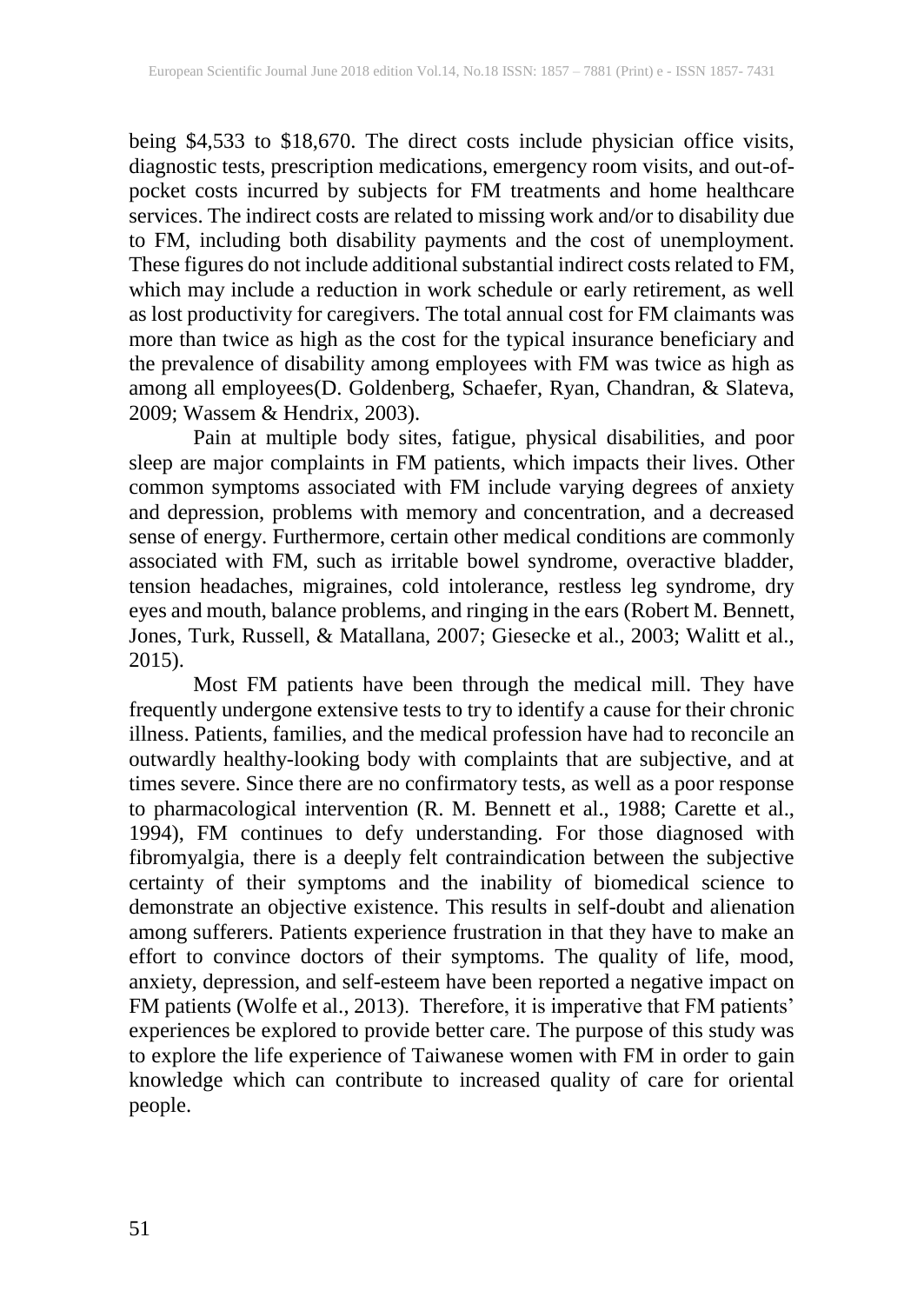being \$4,533 to \$18,670. The direct costs include physician office visits, diagnostic tests, prescription medications, emergency room visits, and out-ofpocket costs incurred by subjects for FM treatments and home healthcare services. The indirect costs are related to missing work and/or to disability due to FM, including both disability payments and the cost of unemployment. These figures do not include additional substantial indirect costsrelated to FM, which may include a reduction in work schedule or early retirement, as well as lost productivity for caregivers. The total annual cost for FM claimants was more than twice as high as the cost for the typical insurance beneficiary and the prevalence of disability among employees with FM was twice as high as among all employees(D. Goldenberg, Schaefer, Ryan, Chandran, & Slateva, 2009; Wassem & Hendrix, 2003).

Pain at multiple body sites, fatigue, physical disabilities, and poor sleep are major complaints in FM patients, which impacts their lives. Other common symptoms associated with FM include varying degrees of anxiety and depression, problems with memory and concentration, and a decreased sense of energy. Furthermore, certain other medical conditions are commonly associated with FM, such as irritable bowel syndrome, overactive bladder, tension headaches, migraines, cold intolerance, restless leg syndrome, dry eyes and mouth, balance problems, and ringing in the ears (Robert M. Bennett, Jones, Turk, Russell, & Matallana, 2007; Giesecke et al., 2003; Walitt et al., 2015).

Most FM patients have been through the medical mill. They have frequently undergone extensive tests to try to identify a cause for their chronic illness. Patients, families, and the medical profession have had to reconcile an outwardly healthy-looking body with complaints that are subjective, and at times severe. Since there are no confirmatory tests, as well as a poor response to pharmacological intervention (R. M. Bennett et al., 1988; Carette et al., 1994), FM continues to defy understanding. For those diagnosed with fibromyalgia, there is a deeply felt contraindication between the subjective certainty of their symptoms and the inability of biomedical science to demonstrate an objective existence. This results in self-doubt and alienation among sufferers. Patients experience frustration in that they have to make an effort to convince doctors of their symptoms. The quality of life, mood, anxiety, depression, and self-esteem have been reported a negative impact on FM patients (Wolfe et al., 2013). Therefore, it is imperative that FM patients' experiences be explored to provide better care. The purpose of this study was to explore the life experience of Taiwanese women with FM in order to gain knowledge which can contribute to increased quality of care for oriental people.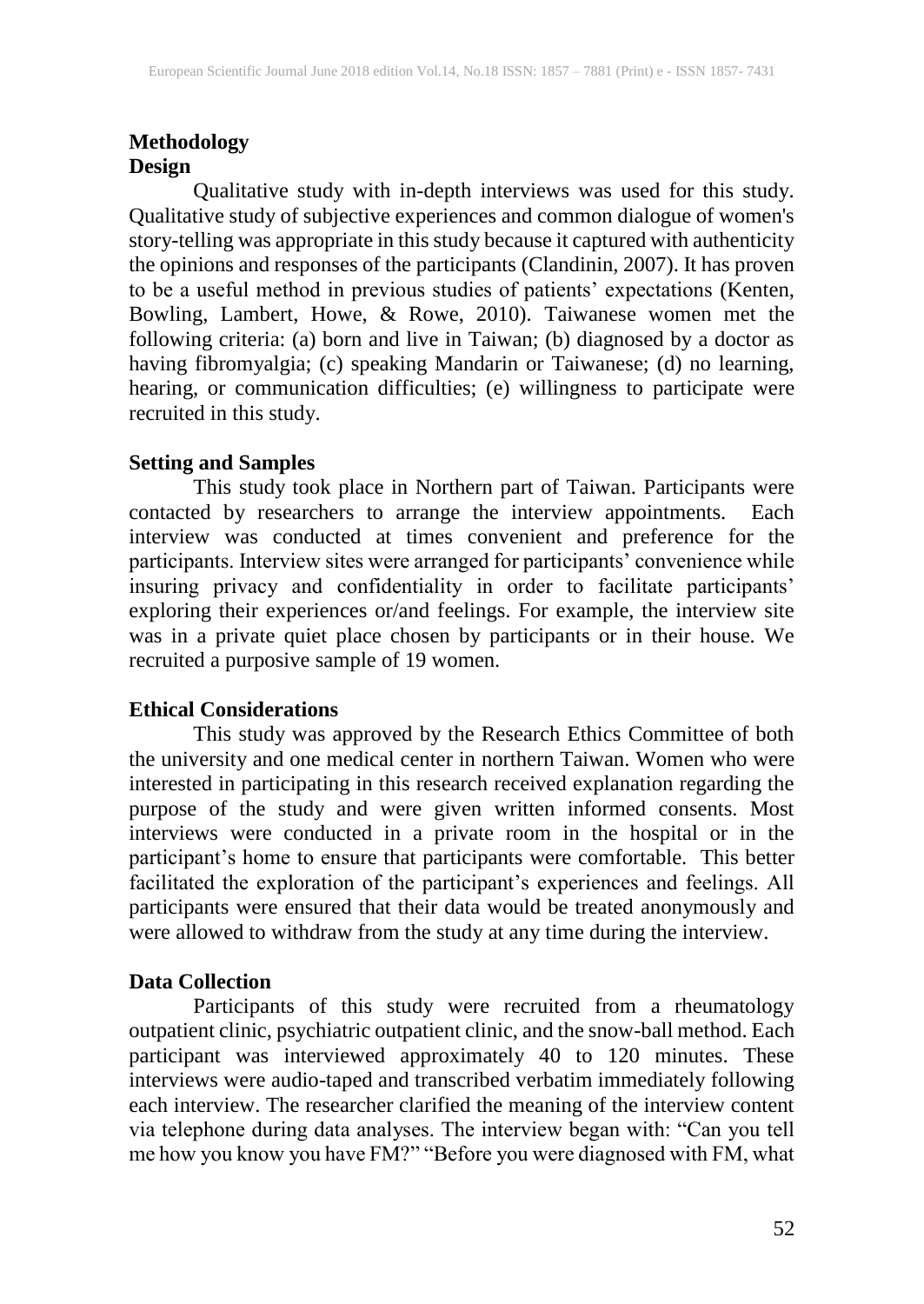#### **Methodology Design**

Qualitative study with in-depth interviews was used for this study. Qualitative study of subjective experiences and common dialogue of women's story-telling was appropriate in this study because it captured with authenticity the opinions and responses of the participants (Clandinin, 2007). It has proven to be a useful method in previous studies of patients' expectations (Kenten, Bowling, Lambert, Howe, & Rowe, 2010). Taiwanese women met the following criteria: (a) born and live in Taiwan; (b) diagnosed by a doctor as having fibromyalgia; (c) speaking Mandarin or Taiwanese; (d) no learning, hearing, or communication difficulties; (e) willingness to participate were recruited in this study.

#### **Setting and Samples**

This study took place in Northern part of Taiwan. Participants were contacted by researchers to arrange the interview appointments. Each interview was conducted at times convenient and preference for the participants. Interview sites were arranged for participants' convenience while insuring privacy and confidentiality in order to facilitate participants' exploring their experiences or/and feelings. For example, the interview site was in a private quiet place chosen by participants or in their house. We recruited a purposive sample of 19 women.

## **Ethical Considerations**

This study was approved by the Research Ethics Committee of both the university and one medical center in northern Taiwan. Women who were interested in participating in this research received explanation regarding the purpose of the study and were given written informed consents. Most interviews were conducted in a private room in the hospital or in the participant's home to ensure that participants were comfortable. This better facilitated the exploration of the participant's experiences and feelings. All participants were ensured that their data would be treated anonymously and were allowed to withdraw from the study at any time during the interview.

## **Data Collection**

Participants of this study were recruited from a rheumatology outpatient clinic, psychiatric outpatient clinic, and the snow-ball method. Each participant was interviewed approximately 40 to 120 minutes. These interviews were audio-taped and transcribed verbatim immediately following each interview. The researcher clarified the meaning of the interview content via telephone during data analyses. The interview began with: "Can you tell me how you know you have FM?" "Before you were diagnosed with FM, what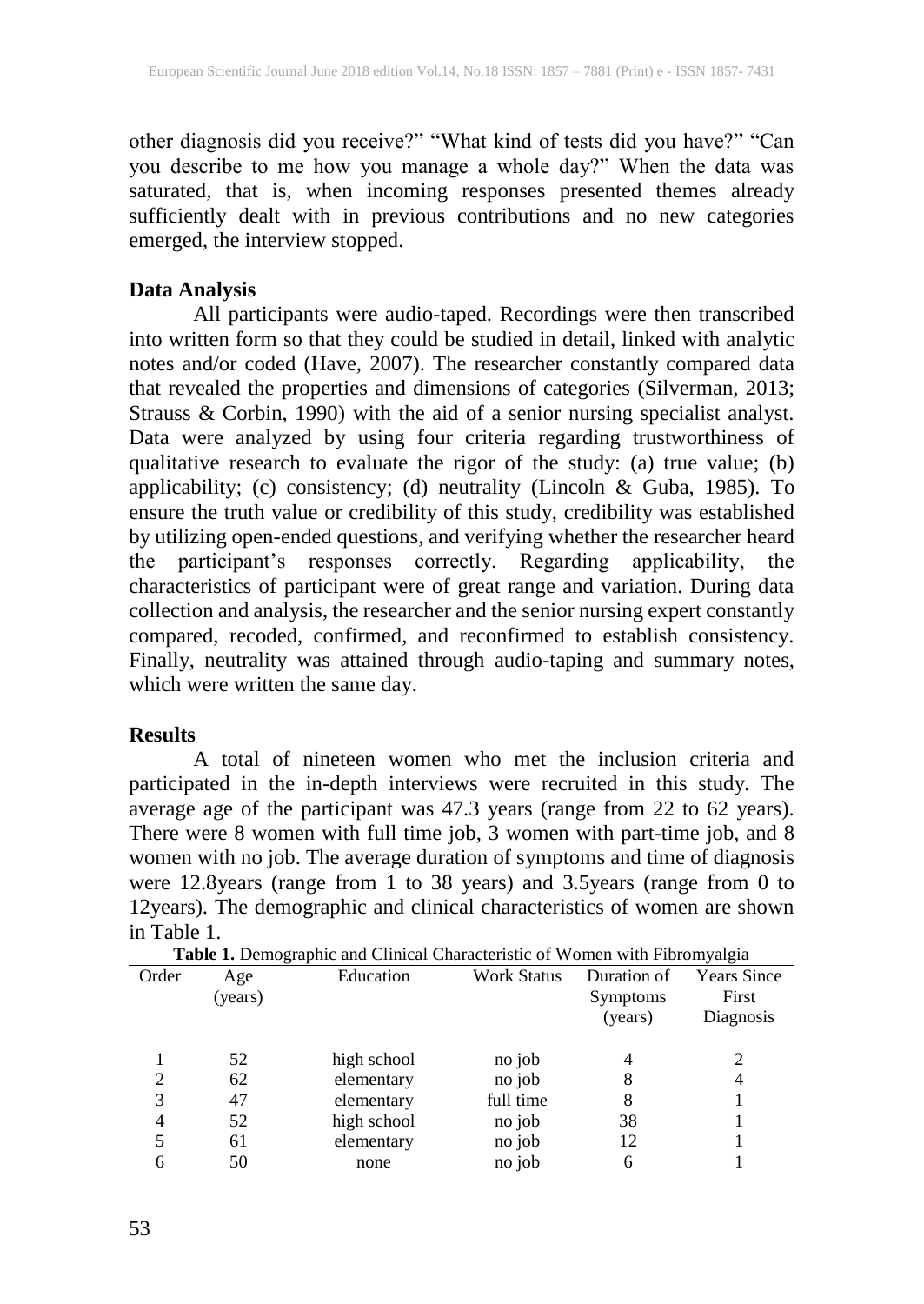other diagnosis did you receive?" "What kind of tests did you have?" "Can you describe to me how you manage a whole day?" When the data was saturated, that is, when incoming responses presented themes already sufficiently dealt with in previous contributions and no new categories emerged, the interview stopped.

#### **Data Analysis**

All participants were audio-taped. Recordings were then transcribed into written form so that they could be studied in detail, linked with analytic notes and/or coded (Have, 2007). The researcher constantly compared data that revealed the properties and dimensions of categories (Silverman, 2013; Strauss & Corbin, 1990) with the aid of a senior nursing specialist analyst. Data were analyzed by using four criteria regarding trustworthiness of qualitative research to evaluate the rigor of the study: (a) true value; (b) applicability; (c) consistency; (d) neutrality (Lincoln & Guba, 1985). To ensure the truth value or credibility of this study, credibility was established by utilizing open-ended questions, and verifying whether the researcher heard the participant's responses correctly. Regarding applicability, the characteristics of participant were of great range and variation. During data collection and analysis, the researcher and the senior nursing expert constantly compared, recoded, confirmed, and reconfirmed to establish consistency. Finally, neutrality was attained through audio-taping and summary notes, which were written the same day.

#### **Results**

A total of nineteen women who met the inclusion criteria and participated in the in-depth interviews were recruited in this study. The average age of the participant was 47.3 years (range from 22 to 62 years). There were 8 women with full time job, 3 women with part-time job, and 8 women with no job. The average duration of symptoms and time of diagnosis were 12.8years (range from 1 to 38 years) and 3.5years (range from 0 to 12years). The demographic and clinical characteristics of women are shown in Table 1.

| <b>THOICED CHIPPING AND CHIPPED CHARGED AND A CHIPPING AND I</b> TOTOTHY ALGIN |         |             |                    |             |                    |  |  |
|--------------------------------------------------------------------------------|---------|-------------|--------------------|-------------|--------------------|--|--|
| Order                                                                          | Age     | Education   | <b>Work Status</b> | Duration of | <b>Years Since</b> |  |  |
|                                                                                | (years) |             |                    | Symptoms    | First              |  |  |
|                                                                                |         |             |                    | (vears)     | Diagnosis          |  |  |
|                                                                                |         |             |                    |             |                    |  |  |
|                                                                                | 52      | high school | no job             | 4           | $\overline{c}$     |  |  |
|                                                                                | 62      | elementary  | no job             | 8           | 4                  |  |  |
| 3                                                                              | 47      | elementary  | full time          | 8           |                    |  |  |
| 4                                                                              | 52      | high school | no job             | 38          |                    |  |  |
|                                                                                | 61      | elementary  | no job             | 12          |                    |  |  |
|                                                                                | 50      | none        | no job             | 6           |                    |  |  |
|                                                                                |         |             |                    |             |                    |  |  |

**Table 1.** Demographic and Clinical Characteristic of Women with Fibromyalgia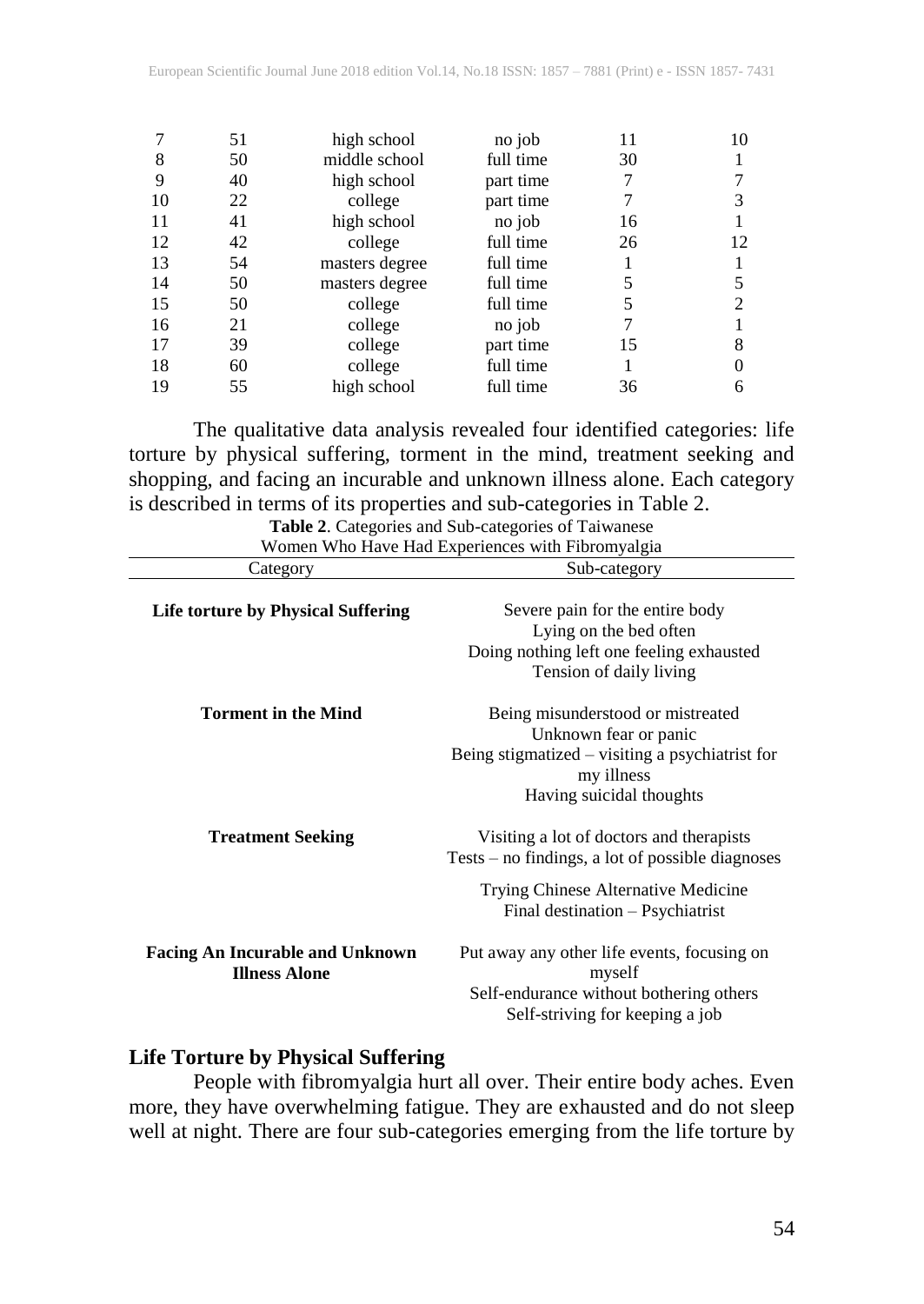|    | 51 | high school    | no job    | 11 | 10 |
|----|----|----------------|-----------|----|----|
| 8  | 50 | middle school  | full time | 30 |    |
| 9  | 40 | high school    | part time |    |    |
| 10 | 22 | college        | part time |    |    |
| 11 | 41 | high school    | no job    | 16 |    |
| 12 | 42 | college        | full time | 26 | 12 |
| 13 | 54 | masters degree | full time |    |    |
| 14 | 50 | masters degree | full time | 5  |    |
| 15 | 50 | college        | full time | 5  |    |
| 16 | 21 | college        | no job    |    |    |
| 17 | 39 | college        | part time | 15 | 8  |
| 18 | 60 | college        | full time |    |    |
| 19 | 55 | high school    | full time | 36 | 6  |

The qualitative data analysis revealed four identified categories: life torture by physical suffering, torment in the mind, treatment seeking and shopping, and facing an incurable and unknown illness alone. Each category is described in terms of its properties and sub-categories in Table 2.

| Table 2. Categories and Sub-categories of Taiwanese            |                                                                                                                                                                           |  |  |  |  |
|----------------------------------------------------------------|---------------------------------------------------------------------------------------------------------------------------------------------------------------------------|--|--|--|--|
| Women Who Have Had Experiences with Fibromyalgia               |                                                                                                                                                                           |  |  |  |  |
| Category                                                       | Sub-category                                                                                                                                                              |  |  |  |  |
| Life torture by Physical Suffering                             | Severe pain for the entire body<br>Lying on the bed often<br>Doing nothing left one feeling exhausted<br>Tension of daily living                                          |  |  |  |  |
| <b>Torment in the Mind</b>                                     | Being misunderstood or mistreated<br>Unknown fear or panic<br>Being stigmatized – visiting a psychiatrist for<br>my illness<br>Having suicidal thoughts                   |  |  |  |  |
| <b>Treatment Seeking</b>                                       | Visiting a lot of doctors and therapists<br>$Tests - no findings, a lot of possible diagnoses$<br>Trying Chinese Alternative Medicine<br>Final destination - Psychiatrist |  |  |  |  |
| <b>Facing An Incurable and Unknown</b><br><b>Illness Alone</b> | Put away any other life events, focusing on<br>myself<br>Self-endurance without bothering others<br>Self-striving for keeping a job                                       |  |  |  |  |

#### **Life Torture by Physical Suffering**

People with fibromyalgia hurt all over. Their entire body aches. Even more, they have overwhelming fatigue. They are exhausted and do not sleep well at night. There are four sub-categories emerging from the life torture by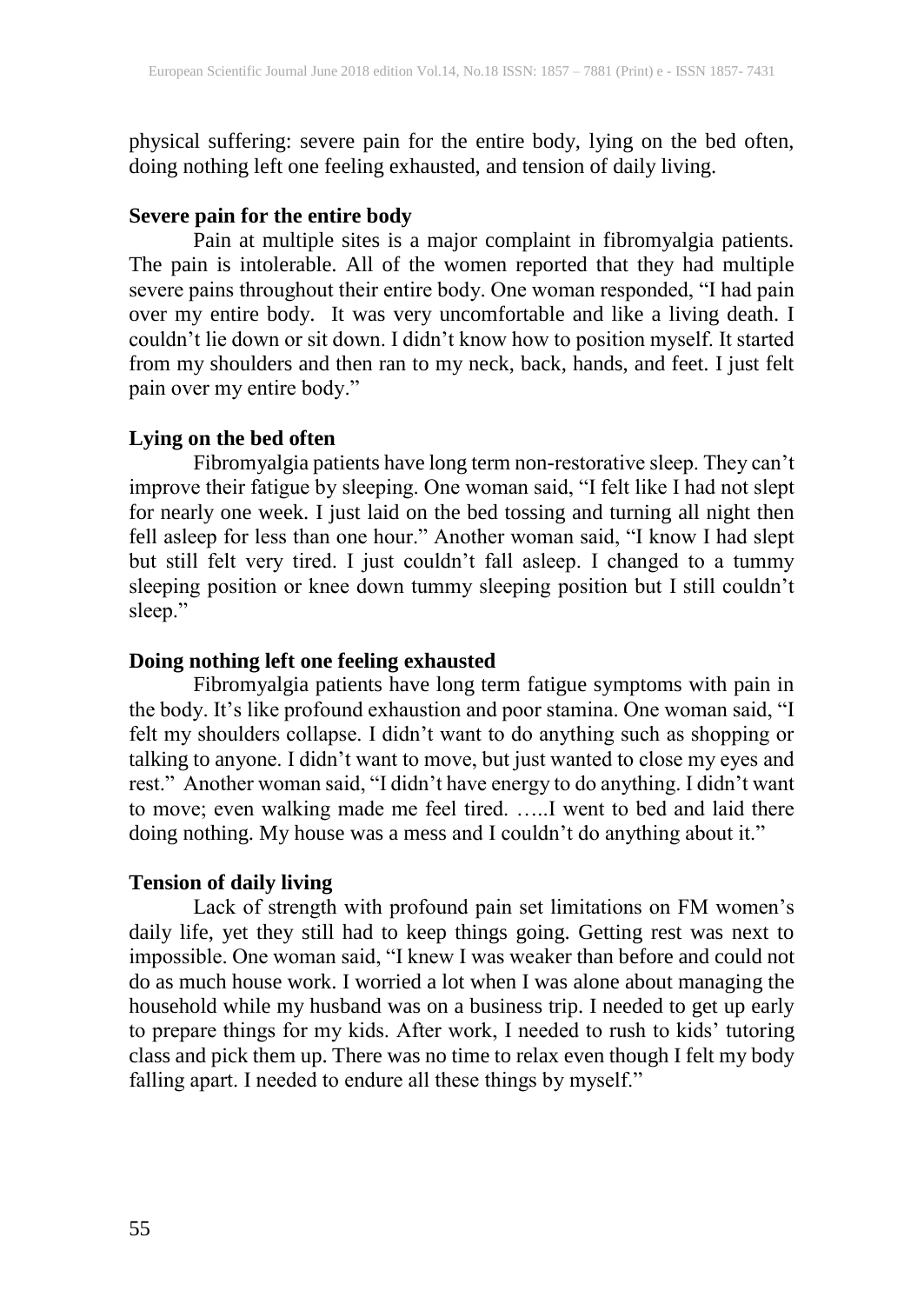physical suffering: severe pain for the entire body, lying on the bed often, doing nothing left one feeling exhausted, and tension of daily living.

## **Severe pain for the entire body**

Pain at multiple sites is a major complaint in fibromyalgia patients. The pain is intolerable. All of the women reported that they had multiple severe pains throughout their entire body. One woman responded, "I had pain over my entire body. It was very uncomfortable and like a living death. I couldn't lie down or sit down. I didn't know how to position myself. It started from my shoulders and then ran to my neck, back, hands, and feet. I just felt pain over my entire body."

## **Lying on the bed often**

Fibromyalgia patients have long term non-restorative sleep. They can't improve their fatigue by sleeping. One woman said, "I felt like I had not slept for nearly one week. I just laid on the bed tossing and turning all night then fell asleep for less than one hour." Another woman said, "I know I had slept but still felt very tired. I just couldn't fall asleep. I changed to a tummy sleeping position or knee down tummy sleeping position but I still couldn't sleep."

## **Doing nothing left one feeling exhausted**

Fibromyalgia patients have long term fatigue symptoms with pain in the body. It's like profound exhaustion and poor stamina. One woman said, "I felt my shoulders collapse. I didn't want to do anything such as shopping or talking to anyone. I didn't want to move, but just wanted to close my eyes and rest." Another woman said, "I didn't have energy to do anything. I didn't want to move; even walking made me feel tired. …..I went to bed and laid there doing nothing. My house was a mess and I couldn't do anything about it."

## **Tension of daily living**

Lack of strength with profound pain set limitations on FM women's daily life, yet they still had to keep things going. Getting rest was next to impossible. One woman said, "I knew I was weaker than before and could not do as much house work. I worried a lot when I was alone about managing the household while my husband was on a business trip. I needed to get up early to prepare things for my kids. After work, I needed to rush to kids' tutoring class and pick them up. There was no time to relax even though I felt my body falling apart. I needed to endure all these things by myself."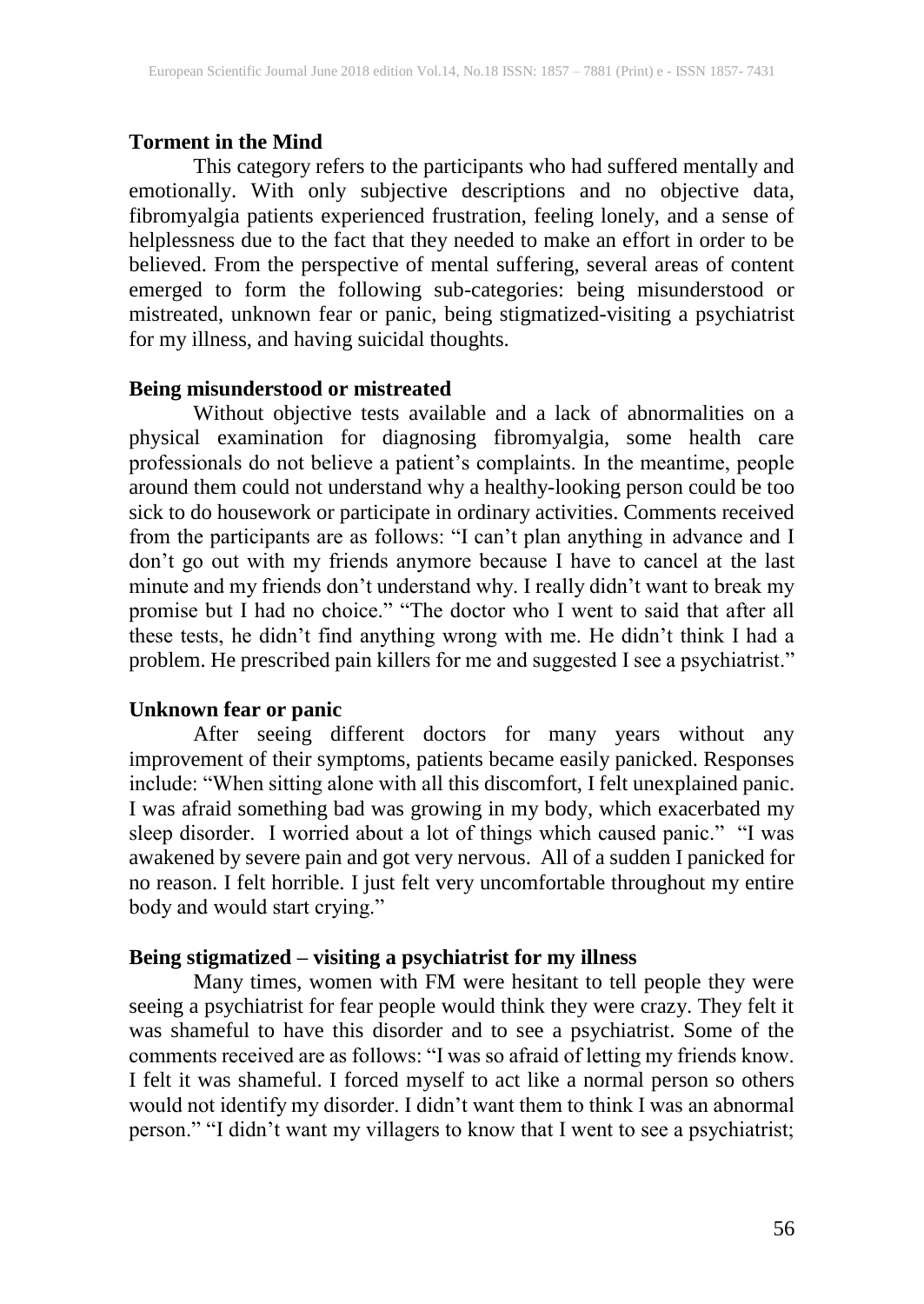#### **Torment in the Mind**

This category refers to the participants who had suffered mentally and emotionally. With only subjective descriptions and no objective data, fibromyalgia patients experienced frustration, feeling lonely, and a sense of helplessness due to the fact that they needed to make an effort in order to be believed. From the perspective of mental suffering, several areas of content emerged to form the following sub-categories: being misunderstood or mistreated, unknown fear or panic, being stigmatized-visiting a psychiatrist for my illness, and having suicidal thoughts.

#### **Being misunderstood or mistreated**

Without objective tests available and a lack of abnormalities on a physical examination for diagnosing fibromyalgia, some health care professionals do not believe a patient's complaints. In the meantime, people around them could not understand why a healthy-looking person could be too sick to do housework or participate in ordinary activities. Comments received from the participants are as follows: "I can't plan anything in advance and I don't go out with my friends anymore because I have to cancel at the last minute and my friends don't understand why. I really didn't want to break my promise but I had no choice." "The doctor who I went to said that after all these tests, he didn't find anything wrong with me. He didn't think I had a problem. He prescribed pain killers for me and suggested I see a psychiatrist."

#### **Unknown fear or panic**

After seeing different doctors for many years without any improvement of their symptoms, patients became easily panicked. Responses include: "When sitting alone with all this discomfort, I felt unexplained panic. I was afraid something bad was growing in my body, which exacerbated my sleep disorder. I worried about a lot of things which caused panic." "I was awakened by severe pain and got very nervous. All of a sudden I panicked for no reason. I felt horrible. I just felt very uncomfortable throughout my entire body and would start crying."

#### **Being stigmatized – visiting a psychiatrist for my illness**

Many times, women with FM were hesitant to tell people they were seeing a psychiatrist for fear people would think they were crazy. They felt it was shameful to have this disorder and to see a psychiatrist. Some of the comments received are as follows: "I was so afraid of letting my friends know. I felt it was shameful. I forced myself to act like a normal person so others would not identify my disorder. I didn't want them to think I was an abnormal person." "I didn't want my villagers to know that I went to see a psychiatrist;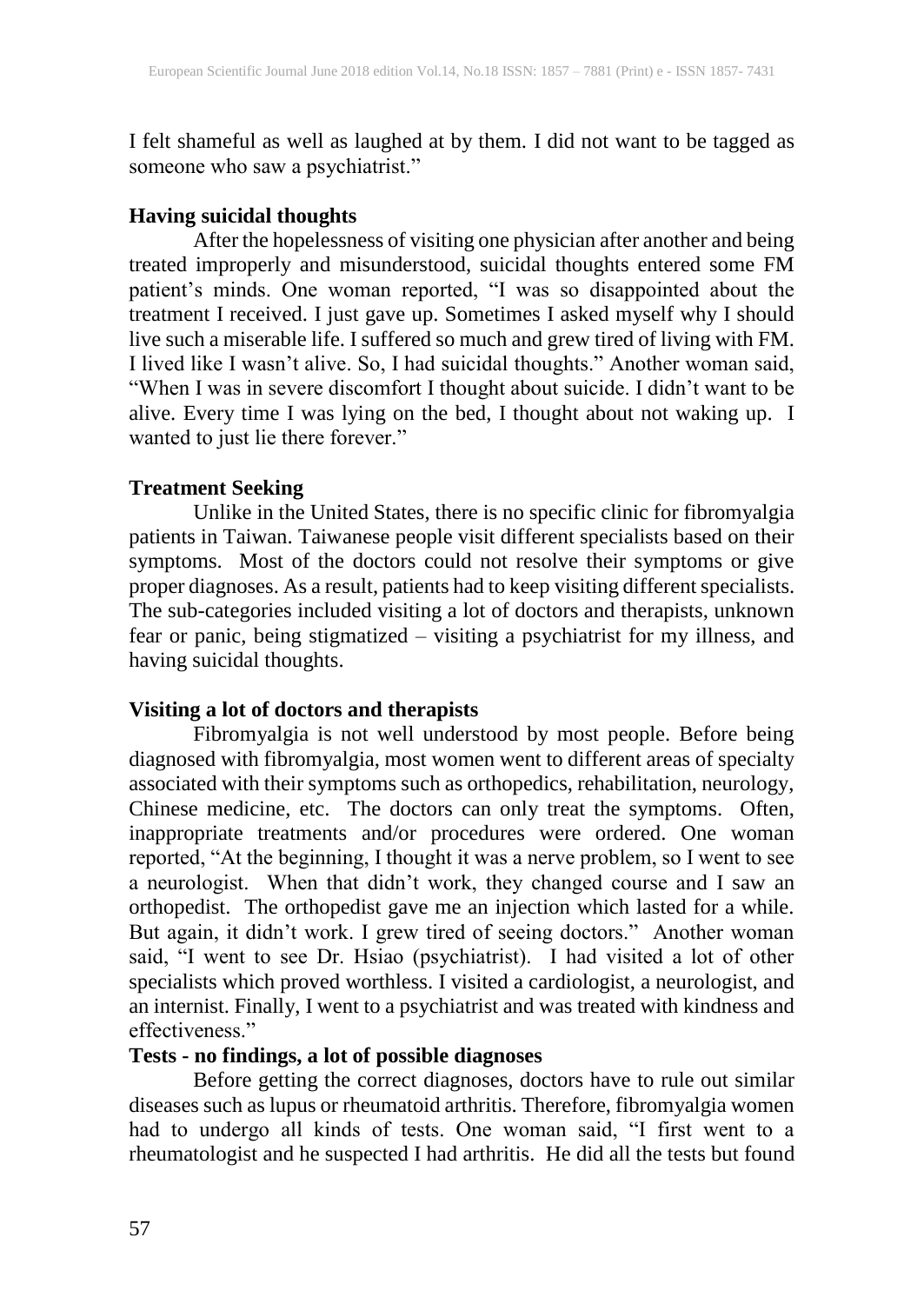I felt shameful as well as laughed at by them. I did not want to be tagged as someone who saw a psychiatrist."

## **Having suicidal thoughts**

After the hopelessness of visiting one physician after another and being treated improperly and misunderstood, suicidal thoughts entered some FM patient's minds. One woman reported, "I was so disappointed about the treatment I received. I just gave up. Sometimes I asked myself why I should live such a miserable life. I suffered so much and grew tired of living with FM. I lived like I wasn't alive. So, I had suicidal thoughts." Another woman said, "When I was in severe discomfort I thought about suicide. I didn't want to be alive. Every time I was lying on the bed, I thought about not waking up. I wanted to just lie there forever."

## **Treatment Seeking**

Unlike in the United States, there is no specific clinic for fibromyalgia patients in Taiwan. Taiwanese people visit different specialists based on their symptoms. Most of the doctors could not resolve their symptoms or give proper diagnoses. As a result, patients had to keep visiting different specialists. The sub-categories included visiting a lot of doctors and therapists, unknown fear or panic, being stigmatized – visiting a psychiatrist for my illness, and having suicidal thoughts.

#### **Visiting a lot of doctors and therapists**

Fibromyalgia is not well understood by most people. Before being diagnosed with fibromyalgia, most women went to different areas of specialty associated with their symptoms such as orthopedics, rehabilitation, neurology, Chinese medicine, etc. The doctors can only treat the symptoms. Often, inappropriate treatments and/or procedures were ordered. One woman reported, "At the beginning, I thought it was a nerve problem, so I went to see a neurologist. When that didn't work, they changed course and I saw an orthopedist. The orthopedist gave me an injection which lasted for a while. But again, it didn't work. I grew tired of seeing doctors." Another woman said, "I went to see Dr. Hsiao (psychiatrist). I had visited a lot of other specialists which proved worthless. I visited a cardiologist, a neurologist, and an internist. Finally, I went to a psychiatrist and was treated with kindness and effectiveness."

#### **Tests - no findings, a lot of possible diagnoses**

Before getting the correct diagnoses, doctors have to rule out similar diseases such as lupus or rheumatoid arthritis. Therefore, fibromyalgia women had to undergo all kinds of tests. One woman said, "I first went to a rheumatologist and he suspected I had arthritis. He did all the tests but found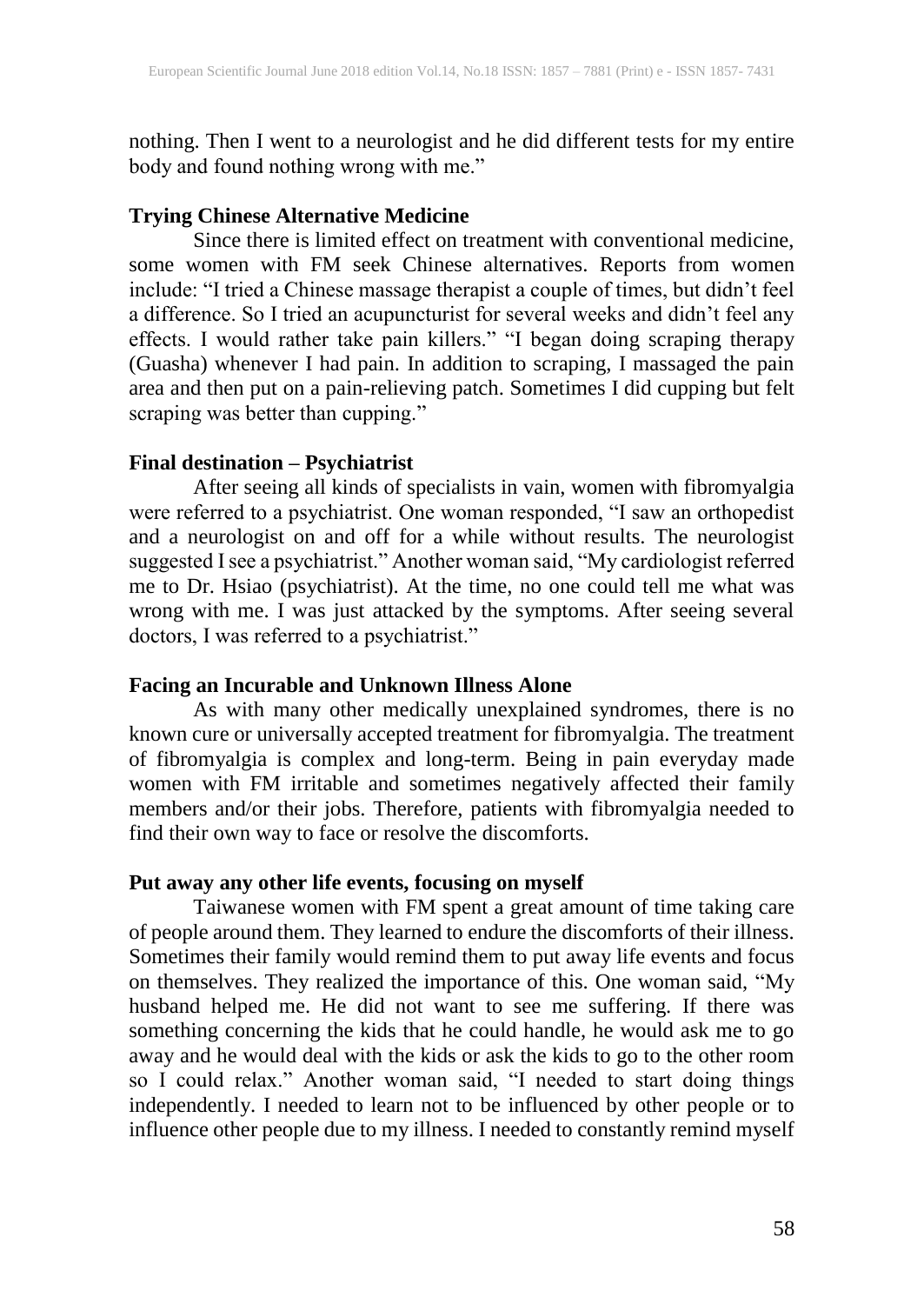nothing. Then I went to a neurologist and he did different tests for my entire body and found nothing wrong with me."

## **Trying Chinese Alternative Medicine**

Since there is limited effect on treatment with conventional medicine, some women with FM seek Chinese alternatives. Reports from women include: "I tried a Chinese massage therapist a couple of times, but didn't feel a difference. So I tried an acupuncturist for several weeks and didn't feel any effects. I would rather take pain killers." "I began doing scraping therapy (Guasha) whenever I had pain. In addition to scraping, I massaged the pain area and then put on a pain-relieving patch. Sometimes I did cupping but felt scraping was better than cupping."

#### **Final destination – Psychiatrist**

After seeing all kinds of specialists in vain, women with fibromyalgia were referred to a psychiatrist. One woman responded, "I saw an orthopedist and a neurologist on and off for a while without results. The neurologist suggested I see a psychiatrist." Another woman said, "My cardiologist referred me to Dr. Hsiao (psychiatrist). At the time, no one could tell me what was wrong with me. I was just attacked by the symptoms. After seeing several doctors, I was referred to a psychiatrist."

## **Facing an Incurable and Unknown Illness Alone**

As with many other medically unexplained syndromes, there is no known cure or universally accepted treatment for fibromyalgia. The treatment of fibromyalgia is complex and long-term. Being in pain everyday made women with FM irritable and sometimes negatively affected their family members and/or their jobs. Therefore, patients with fibromyalgia needed to find their own way to face or resolve the discomforts.

#### **Put away any other life events, focusing on myself**

Taiwanese women with FM spent a great amount of time taking care of people around them. They learned to endure the discomforts of their illness. Sometimes their family would remind them to put away life events and focus on themselves. They realized the importance of this. One woman said, "My husband helped me. He did not want to see me suffering. If there was something concerning the kids that he could handle, he would ask me to go away and he would deal with the kids or ask the kids to go to the other room so I could relax." Another woman said, "I needed to start doing things independently. I needed to learn not to be influenced by other people or to influence other people due to my illness. I needed to constantly remind myself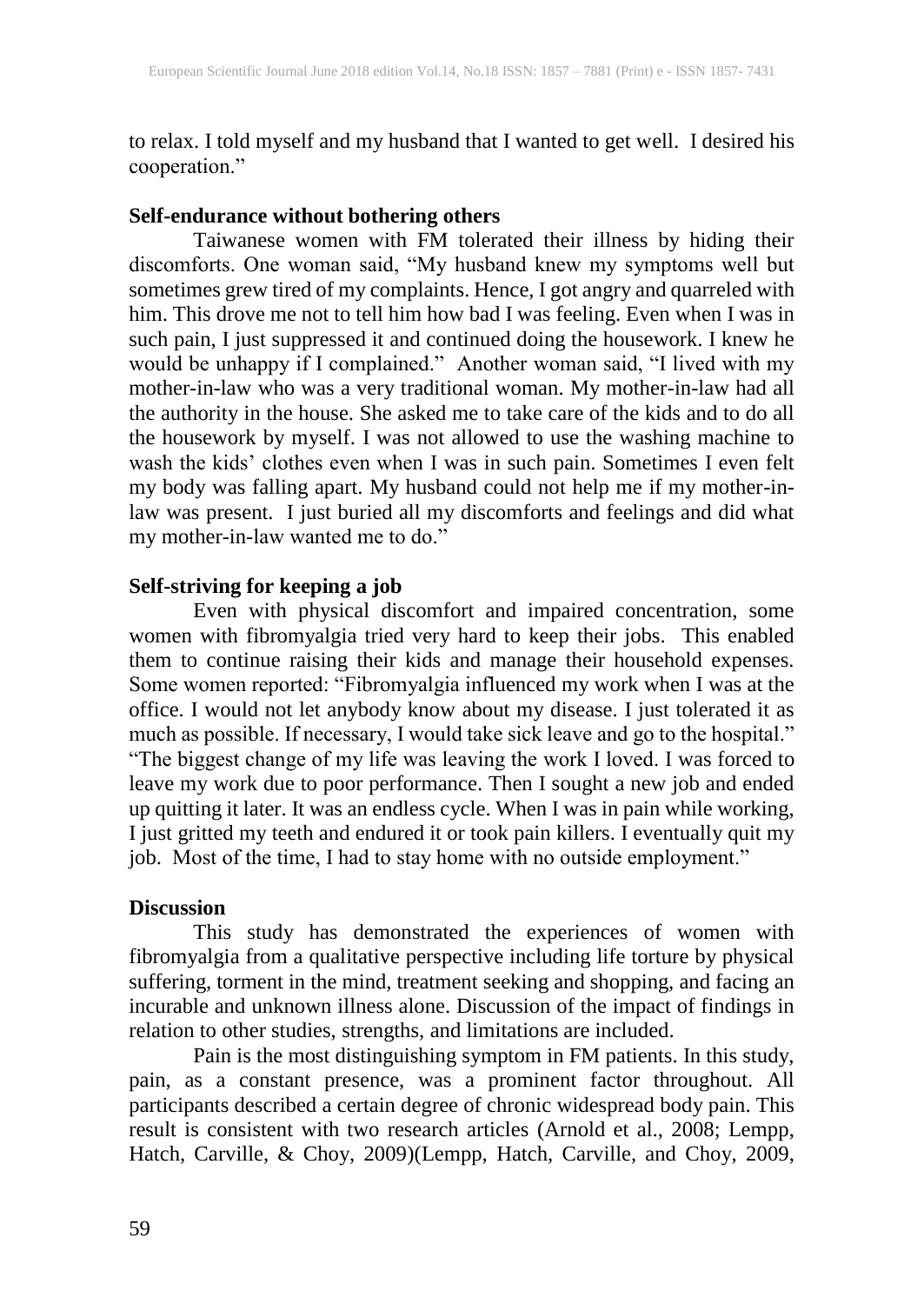to relax. I told myself and my husband that I wanted to get well. I desired his cooperation."

## **Self-endurance without bothering others**

Taiwanese women with FM tolerated their illness by hiding their discomforts. One woman said, "My husband knew my symptoms well but sometimes grew tired of my complaints. Hence, I got angry and quarreled with him. This drove me not to tell him how bad I was feeling. Even when I was in such pain, I just suppressed it and continued doing the housework. I knew he would be unhappy if I complained." Another woman said, "I lived with my mother-in-law who was a very traditional woman. My mother-in-law had all the authority in the house. She asked me to take care of the kids and to do all the housework by myself. I was not allowed to use the washing machine to wash the kids' clothes even when I was in such pain. Sometimes I even felt my body was falling apart. My husband could not help me if my mother-inlaw was present. I just buried all my discomforts and feelings and did what my mother-in-law wanted me to do."

#### **Self-striving for keeping a job**

Even with physical discomfort and impaired concentration, some women with fibromyalgia tried very hard to keep their jobs. This enabled them to continue raising their kids and manage their household expenses. Some women reported: "Fibromyalgia influenced my work when I was at the office. I would not let anybody know about my disease. I just tolerated it as much as possible. If necessary, I would take sick leave and go to the hospital." "The biggest change of my life was leaving the work I loved. I was forced to leave my work due to poor performance. Then I sought a new job and ended up quitting it later. It was an endless cycle. When I was in pain while working, I just gritted my teeth and endured it or took pain killers. I eventually quit my job. Most of the time, I had to stay home with no outside employment."

#### **Discussion**

This study has demonstrated the experiences of women with fibromyalgia from a qualitative perspective including life torture by physical suffering, torment in the mind, treatment seeking and shopping, and facing an incurable and unknown illness alone. Discussion of the impact of findings in relation to other studies, strengths, and limitations are included.

Pain is the most distinguishing symptom in FM patients. In this study, pain, as a constant presence, was a prominent factor throughout. All participants described a certain degree of chronic widespread body pain. This result is consistent with two research articles (Arnold et al., 2008; Lempp, Hatch, Carville, & Choy, 2009)(Lempp, Hatch, Carville, and Choy, 2009,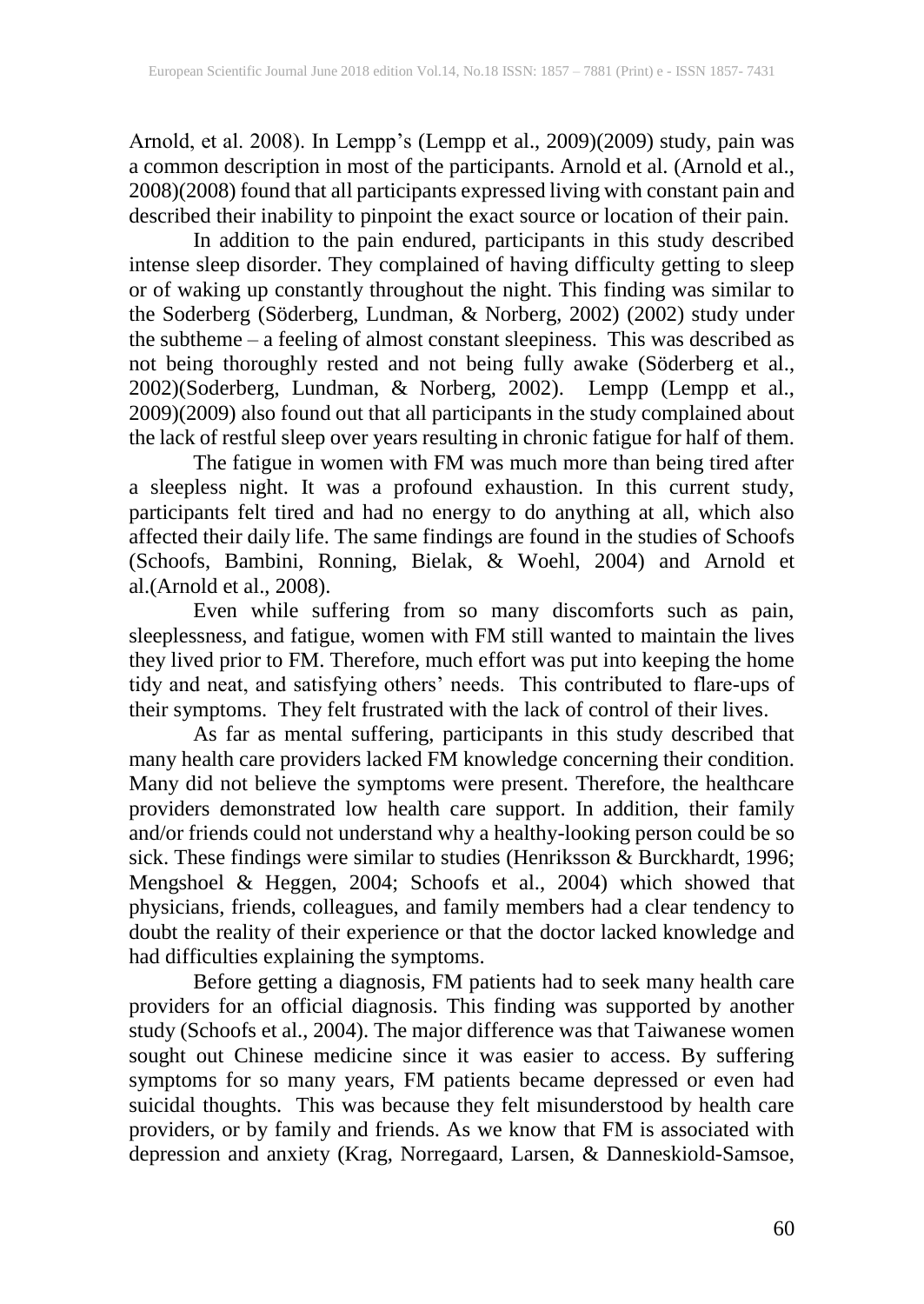Arnold, et al. 2008). In Lempp's (Lempp et al., 2009)(2009) study, pain was a common description in most of the participants. Arnold et al. (Arnold et al., 2008)(2008) found that all participants expressed living with constant pain and described their inability to pinpoint the exact source or location of their pain.

In addition to the pain endured, participants in this study described intense sleep disorder. They complained of having difficulty getting to sleep or of waking up constantly throughout the night. This finding was similar to the Soderberg (Söderberg, Lundman, & Norberg, 2002) (2002) study under the subtheme – a feeling of almost constant sleepiness. This was described as not being thoroughly rested and not being fully awake (Söderberg et al., 2002)(Soderberg, Lundman, & Norberg, 2002). Lempp (Lempp et al., 2009)(2009) also found out that all participants in the study complained about the lack of restful sleep over years resulting in chronic fatigue for half of them.

The fatigue in women with FM was much more than being tired after a sleepless night. It was a profound exhaustion. In this current study, participants felt tired and had no energy to do anything at all, which also affected their daily life. The same findings are found in the studies of Schoofs (Schoofs, Bambini, Ronning, Bielak, & Woehl, 2004) and Arnold et al.(Arnold et al., 2008).

Even while suffering from so many discomforts such as pain, sleeplessness, and fatigue, women with FM still wanted to maintain the lives they lived prior to FM. Therefore, much effort was put into keeping the home tidy and neat, and satisfying others' needs. This contributed to flare-ups of their symptoms. They felt frustrated with the lack of control of their lives.

As far as mental suffering, participants in this study described that many health care providers lacked FM knowledge concerning their condition. Many did not believe the symptoms were present. Therefore, the healthcare providers demonstrated low health care support. In addition, their family and/or friends could not understand why a healthy-looking person could be so sick. These findings were similar to studies (Henriksson & Burckhardt, 1996; Mengshoel & Heggen, 2004; Schoofs et al., 2004) which showed that physicians, friends, colleagues, and family members had a clear tendency to doubt the reality of their experience or that the doctor lacked knowledge and had difficulties explaining the symptoms.

Before getting a diagnosis, FM patients had to seek many health care providers for an official diagnosis. This finding was supported by another study (Schoofs et al., 2004). The major difference was that Taiwanese women sought out Chinese medicine since it was easier to access. By suffering symptoms for so many years, FM patients became depressed or even had suicidal thoughts. This was because they felt misunderstood by health care providers, or by family and friends. As we know that FM is associated with depression and anxiety (Krag, Norregaard, Larsen, & Danneskiold-Samsoe,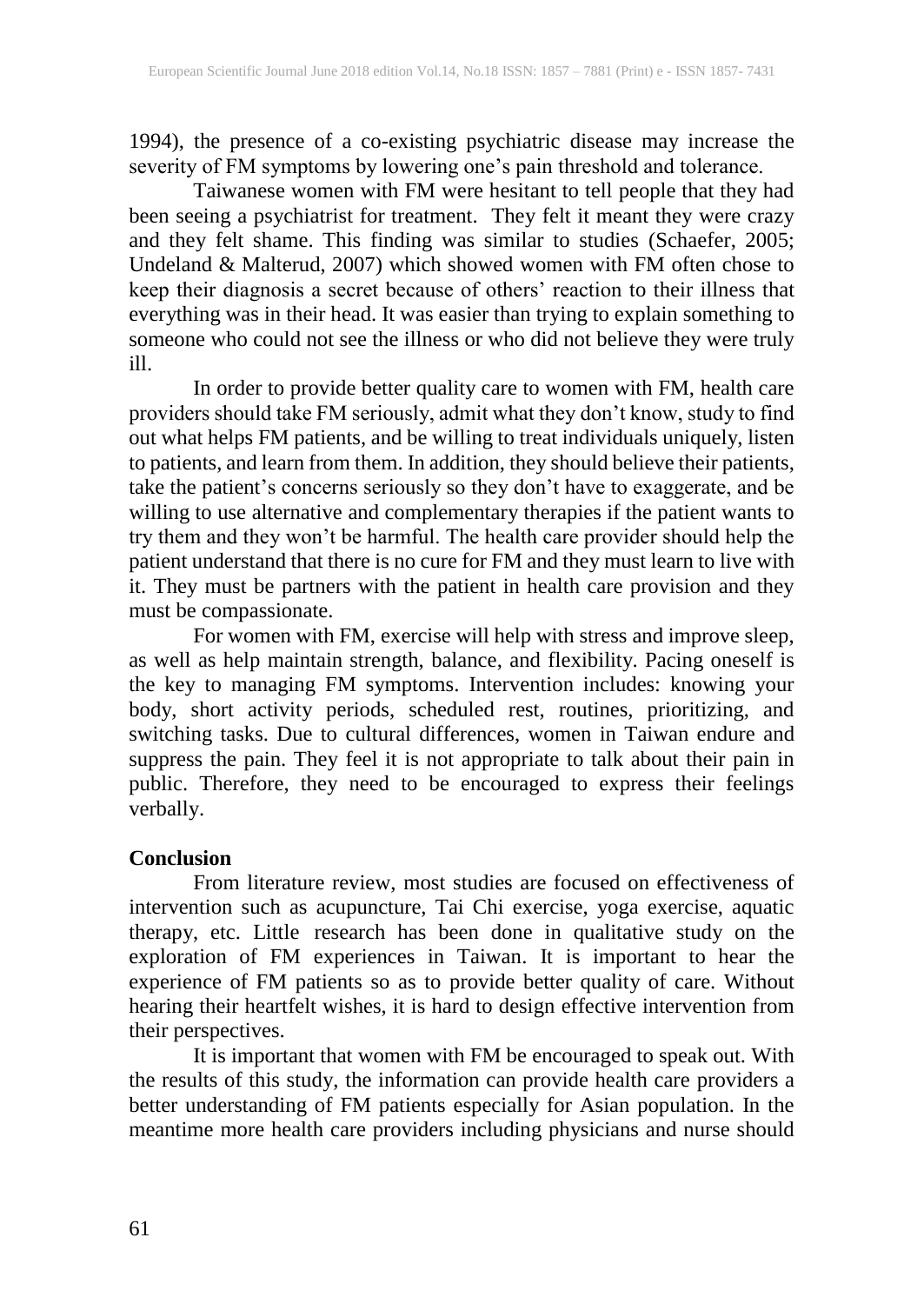1994), the presence of a co-existing psychiatric disease may increase the severity of FM symptoms by lowering one's pain threshold and tolerance.

Taiwanese women with FM were hesitant to tell people that they had been seeing a psychiatrist for treatment. They felt it meant they were crazy and they felt shame. This finding was similar to studies (Schaefer, 2005; Undeland & Malterud, 2007) which showed women with FM often chose to keep their diagnosis a secret because of others' reaction to their illness that everything was in their head. It was easier than trying to explain something to someone who could not see the illness or who did not believe they were truly ill.

In order to provide better quality care to women with FM, health care providers should take FM seriously, admit what they don't know, study to find out what helps FM patients, and be willing to treat individuals uniquely, listen to patients, and learn from them. In addition, they should believe their patients, take the patient's concerns seriously so they don't have to exaggerate, and be willing to use alternative and complementary therapies if the patient wants to try them and they won't be harmful. The health care provider should help the patient understand that there is no cure for FM and they must learn to live with it. They must be partners with the patient in health care provision and they must be compassionate.

For women with FM, exercise will help with stress and improve sleep, as well as help maintain strength, balance, and flexibility. Pacing oneself is the key to managing FM symptoms. Intervention includes: knowing your body, short activity periods, scheduled rest, routines, prioritizing, and switching tasks. Due to cultural differences, women in Taiwan endure and suppress the pain. They feel it is not appropriate to talk about their pain in public. Therefore, they need to be encouraged to express their feelings verbally.

#### **Conclusion**

From literature review, most studies are focused on effectiveness of intervention such as acupuncture, Tai Chi exercise, yoga exercise, aquatic therapy, etc. Little research has been done in qualitative study on the exploration of FM experiences in Taiwan. It is important to hear the experience of FM patients so as to provide better quality of care. Without hearing their heartfelt wishes, it is hard to design effective intervention from their perspectives.

It is important that women with FM be encouraged to speak out. With the results of this study, the information can provide health care providers a better understanding of FM patients especially for Asian population. In the meantime more health care providers including physicians and nurse should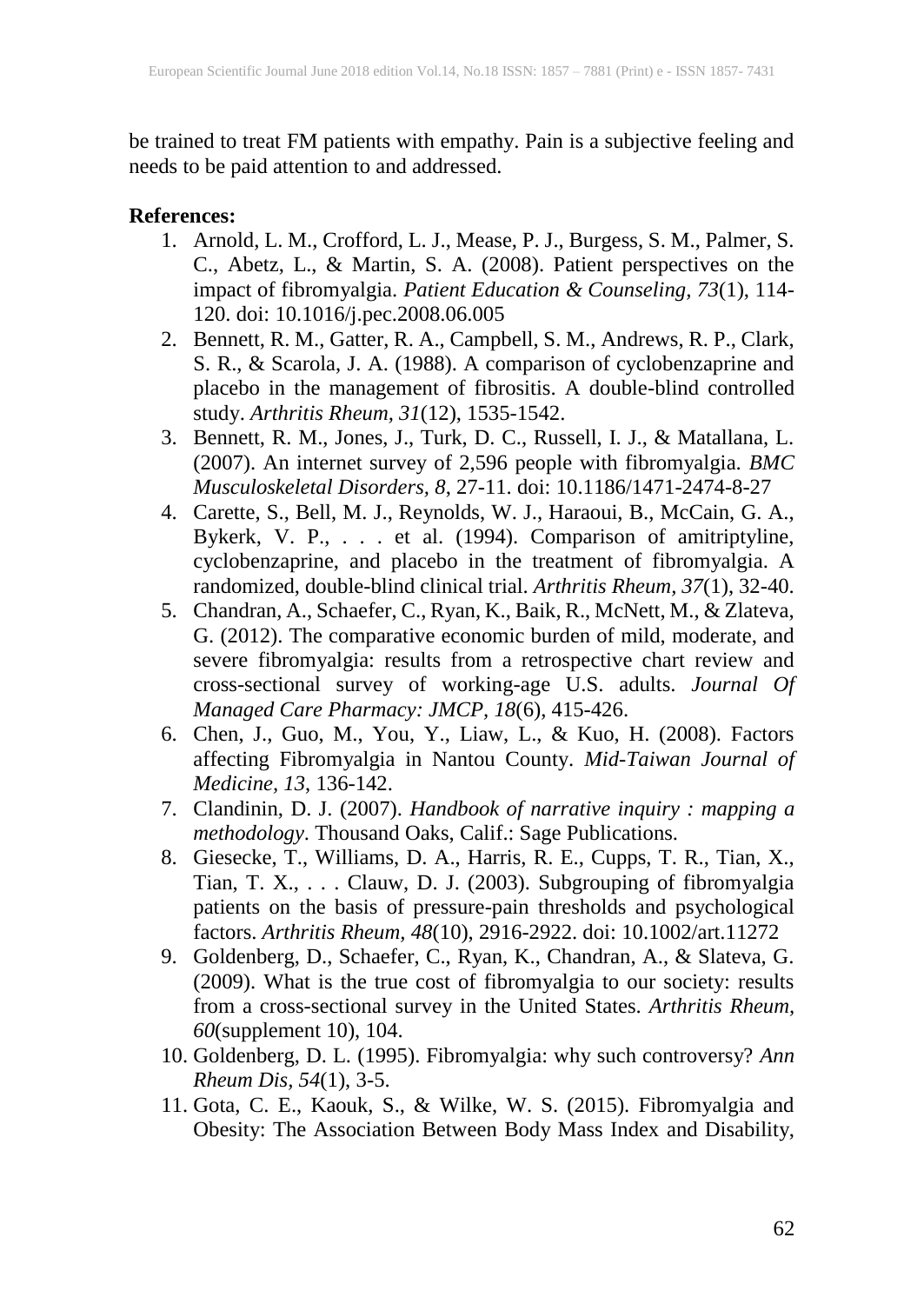be trained to treat FM patients with empathy. Pain is a subjective feeling and needs to be paid attention to and addressed.

#### **References:**

- 1. Arnold, L. M., Crofford, L. J., Mease, P. J., Burgess, S. M., Palmer, S. C., Abetz, L., & Martin, S. A. (2008). Patient perspectives on the impact of fibromyalgia. *Patient Education & Counseling, 73*(1), 114- 120. doi: 10.1016/j.pec.2008.06.005
- 2. Bennett, R. M., Gatter, R. A., Campbell, S. M., Andrews, R. P., Clark, S. R., & Scarola, J. A. (1988). A comparison of cyclobenzaprine and placebo in the management of fibrositis. A double-blind controlled study. *Arthritis Rheum, 31*(12), 1535-1542.
- 3. Bennett, R. M., Jones, J., Turk, D. C., Russell, I. J., & Matallana, L. (2007). An internet survey of 2,596 people with fibromyalgia. *BMC Musculoskeletal Disorders, 8*, 27-11. doi: 10.1186/1471-2474-8-27
- 4. Carette, S., Bell, M. J., Reynolds, W. J., Haraoui, B., McCain, G. A., Bykerk, V. P., . . . et al. (1994). Comparison of amitriptyline, cyclobenzaprine, and placebo in the treatment of fibromyalgia. A randomized, double-blind clinical trial. *Arthritis Rheum, 37*(1), 32-40.
- 5. Chandran, A., Schaefer, C., Ryan, K., Baik, R., McNett, M., & Zlateva, G. (2012). The comparative economic burden of mild, moderate, and severe fibromyalgia: results from a retrospective chart review and cross-sectional survey of working-age U.S. adults. *Journal Of Managed Care Pharmacy: JMCP, 18*(6), 415-426.
- 6. Chen, J., Guo, M., You, Y., Liaw, L., & Kuo, H. (2008). Factors affecting Fibromyalgia in Nantou County. *Mid-Taiwan Journal of Medicine, 13*, 136-142.
- 7. Clandinin, D. J. (2007). *Handbook of narrative inquiry : mapping a methodology*. Thousand Oaks, Calif.: Sage Publications.
- 8. Giesecke, T., Williams, D. A., Harris, R. E., Cupps, T. R., Tian, X., Tian, T. X., . . . Clauw, D. J. (2003). Subgrouping of fibromyalgia patients on the basis of pressure-pain thresholds and psychological factors. *Arthritis Rheum, 48*(10), 2916-2922. doi: 10.1002/art.11272
- 9. Goldenberg, D., Schaefer, C., Ryan, K., Chandran, A., & Slateva, G. (2009). What is the true cost of fibromyalgia to our society: results from a cross-sectional survey in the United States. *Arthritis Rheum, 60*(supplement 10), 104.
- 10. Goldenberg, D. L. (1995). Fibromyalgia: why such controversy? *Ann Rheum Dis, 54*(1), 3-5.
- 11. Gota, C. E., Kaouk, S., & Wilke, W. S. (2015). Fibromyalgia and Obesity: The Association Between Body Mass Index and Disability,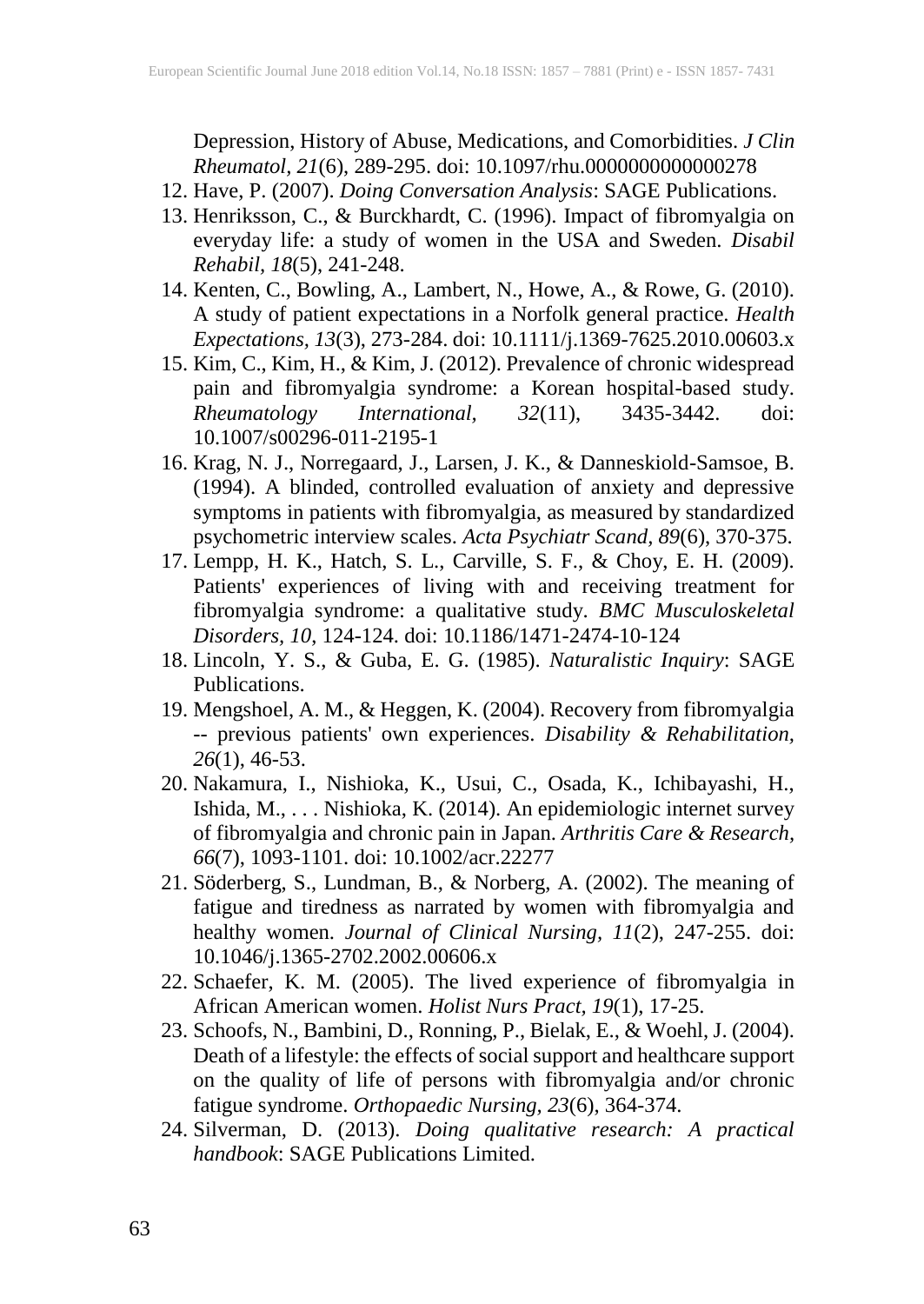Depression, History of Abuse, Medications, and Comorbidities. *J Clin Rheumatol, 21*(6), 289-295. doi: 10.1097/rhu.0000000000000278

- 12. Have, P. (2007). *Doing Conversation Analysis*: SAGE Publications.
- 13. Henriksson, C., & Burckhardt, C. (1996). Impact of fibromyalgia on everyday life: a study of women in the USA and Sweden. *Disabil Rehabil, 18*(5), 241-248.
- 14. Kenten, C., Bowling, A., Lambert, N., Howe, A., & Rowe, G. (2010). A study of patient expectations in a Norfolk general practice. *Health Expectations, 13*(3), 273-284. doi: 10.1111/j.1369-7625.2010.00603.x
- 15. Kim, C., Kim, H., & Kim, J. (2012). Prevalence of chronic widespread pain and fibromyalgia syndrome: a Korean hospital-based study. *Rheumatology International, 32*(11), 3435-3442. doi: 10.1007/s00296-011-2195-1
- 16. Krag, N. J., Norregaard, J., Larsen, J. K., & Danneskiold-Samsoe, B. (1994). A blinded, controlled evaluation of anxiety and depressive symptoms in patients with fibromyalgia, as measured by standardized psychometric interview scales. *Acta Psychiatr Scand, 89*(6), 370-375.
- 17. Lempp, H. K., Hatch, S. L., Carville, S. F., & Choy, E. H. (2009). Patients' experiences of living with and receiving treatment for fibromyalgia syndrome: a qualitative study. *BMC Musculoskeletal Disorders, 10*, 124-124. doi: 10.1186/1471-2474-10-124
- 18. Lincoln, Y. S., & Guba, E. G. (1985). *Naturalistic Inquiry*: SAGE Publications.
- 19. Mengshoel, A. M., & Heggen, K. (2004). Recovery from fibromyalgia -- previous patients' own experiences. *Disability & Rehabilitation, 26*(1), 46-53.
- 20. Nakamura, I., Nishioka, K., Usui, C., Osada, K., Ichibayashi, H., Ishida, M., . . . Nishioka, K. (2014). An epidemiologic internet survey of fibromyalgia and chronic pain in Japan. *Arthritis Care & Research, 66*(7), 1093-1101. doi: 10.1002/acr.22277
- 21. Söderberg, S., Lundman, B., & Norberg, A. (2002). The meaning of fatigue and tiredness as narrated by women with fibromyalgia and healthy women. *Journal of Clinical Nursing, 11*(2), 247-255. doi: 10.1046/j.1365-2702.2002.00606.x
- 22. Schaefer, K. M. (2005). The lived experience of fibromyalgia in African American women. *Holist Nurs Pract, 19*(1), 17-25.
- 23. Schoofs, N., Bambini, D., Ronning, P., Bielak, E., & Woehl, J. (2004). Death of a lifestyle: the effects of social support and healthcare support on the quality of life of persons with fibromyalgia and/or chronic fatigue syndrome. *Orthopaedic Nursing, 23*(6), 364-374.
- 24. Silverman, D. (2013). *Doing qualitative research: A practical handbook*: SAGE Publications Limited.